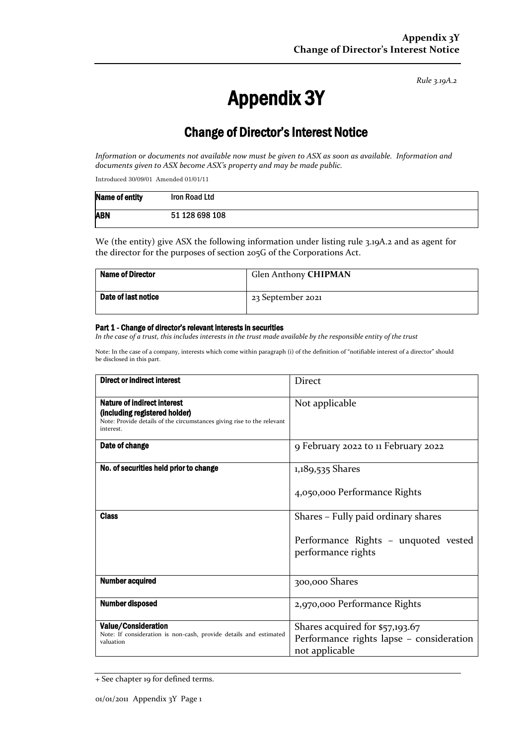*Rule 3.19A.2*

# Appendix 3Y

# Change of Director's Interest Notice

*Information or documents not available now must be given to ASX as soon as available. Information and documents given to ASX become ASX's property and may be made public.*

Introduced 30/09/01 Amended 01/01/11

| Name of entity | Iron Road Ltd  |
|----------------|----------------|
| <b>ABN</b>     | 51 128 698 108 |

We (the entity) give ASX the following information under listing rule 3.19A.2 and as agent for the director for the purposes of section 205G of the Corporations Act.

| <b>Name of Director</b> | Glen Anthony CHIPMAN |
|-------------------------|----------------------|
| Date of last notice     | 23 September 2021    |

#### Part 1 - Change of director's relevant interests in securities

*In the case of a trust, this includes interests in the trust made available by the responsible entity of the trust*

Note: In the case of a company, interests which come within paragraph (i) of the definition of "notifiable interest of a director" should be disclosed in this part.

| <b>Direct or indirect interest</b>                                                                                                                         | <b>Direct</b>                                              |  |
|------------------------------------------------------------------------------------------------------------------------------------------------------------|------------------------------------------------------------|--|
| <b>Nature of indirect interest</b><br>(including registered holder)<br>Note: Provide details of the circumstances giving rise to the relevant<br>interest. | Not applicable                                             |  |
| Date of change                                                                                                                                             | 9 February 2022 to 11 February 2022                        |  |
| No. of securities held prior to change                                                                                                                     | 1,189,535 Shares                                           |  |
|                                                                                                                                                            | 4,050,000 Performance Rights                               |  |
| <b>Class</b>                                                                                                                                               | Shares – Fully paid ordinary shares                        |  |
|                                                                                                                                                            | Performance Rights - unquoted vested<br>performance rights |  |
| <b>Number acquired</b>                                                                                                                                     | 300,000 Shares                                             |  |
| Number disposed                                                                                                                                            | 2,970,000 Performance Rights                               |  |
| <b>Value/Consideration</b>                                                                                                                                 | Shares acquired for \$57,193.67                            |  |
| Note: If consideration is non-cash, provide details and estimated<br>valuation                                                                             | Performance rights lapse - consideration<br>not applicable |  |

<sup>+</sup> See chapter 19 for defined terms.